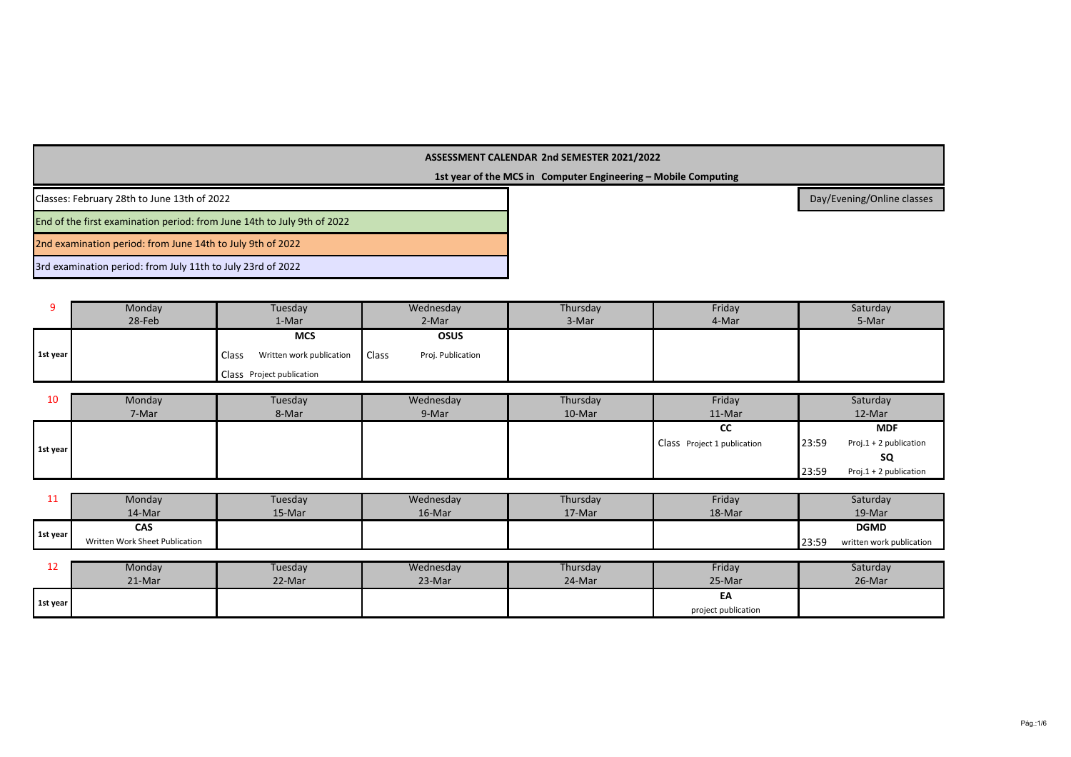**1st year of the MCS in Computer Engineering – Mobile Computing**

Classes: February 28th to June 13th of 2022

End of the first examination period: from June 14th to July 9th of 2022

2nd examination period: from June 14th to July 9th of 2022

3rd examination period: from July 11th to July 23rd of 2022

|          | Monday | Tuesday                                        | Wednesday                         | Thursday | Friday | Saturday |
|----------|--------|------------------------------------------------|-----------------------------------|----------|--------|----------|
|          | 28-Feb | 1-Mar                                          | 2-Mar                             | 3-Mar    | 4-Mar  | 5-Mar    |
|          |        | <b>MCS</b>                                     | <b>OSUS</b>                       |          |        |          |
| 1st year |        | Class <sup>1</sup><br>Written work publication | <b>Class</b><br>Proj. Publication |          |        |          |
|          |        | Class Project publication                      |                                   |          |        |          |

| 10       | Monday | Tuesday | Wednesday | Thursday | Friday                             |       | Saturday               |
|----------|--------|---------|-----------|----------|------------------------------------|-------|------------------------|
|          | 7-Mar  | 8-Mar   | 9-Mar     | 10-Mar   | $11-Mar$                           |       | 12-Mar                 |
|          |        |         |           |          | <b>CC</b>                          |       | <b>MDF</b>             |
| 1st year |        |         |           |          | <b>Class</b> Project 1 publication | 23:59 | Proj.1 + 2 publication |
|          |        |         |           |          |                                    |       | SQ                     |
|          |        |         |           |          |                                    | 23:59 | Proj.1 + 2 publication |

| --       | Monday                         | Tuesday | Wednesday | Thursday | Friday | Saturday                          |
|----------|--------------------------------|---------|-----------|----------|--------|-----------------------------------|
|          | 14-Mar                         | 15-Mar  | 16-Mar    | 17-Mar   | 18-Mar | 19-Mar                            |
|          | CAS                            |         |           |          |        | <b>DGMD</b>                       |
| 1st year | Written Work Sheet Publication |         |           |          |        | 23:59<br>written work publication |
|          |                                |         |           |          |        |                                   |
|          | Monday                         | Tuesday | Wednesday | Thursday | Friday | Saturday                          |

| <u>__</u> | <b>IVIONIGAV</b> | i uesuav | <i>vveunesday</i> | <b>Triursuay</b> | <b>Friudy</b>       | <b>Saturday</b> |
|-----------|------------------|----------|-------------------|------------------|---------------------|-----------------|
|           | 21-Mar           | 22-Mar   | 23-Mar            | 24-Mar           | 25-Mar              | 26-Mar          |
| 1st year  |                  |          |                   |                  | EA                  |                 |
|           |                  |          |                   |                  | project publication |                 |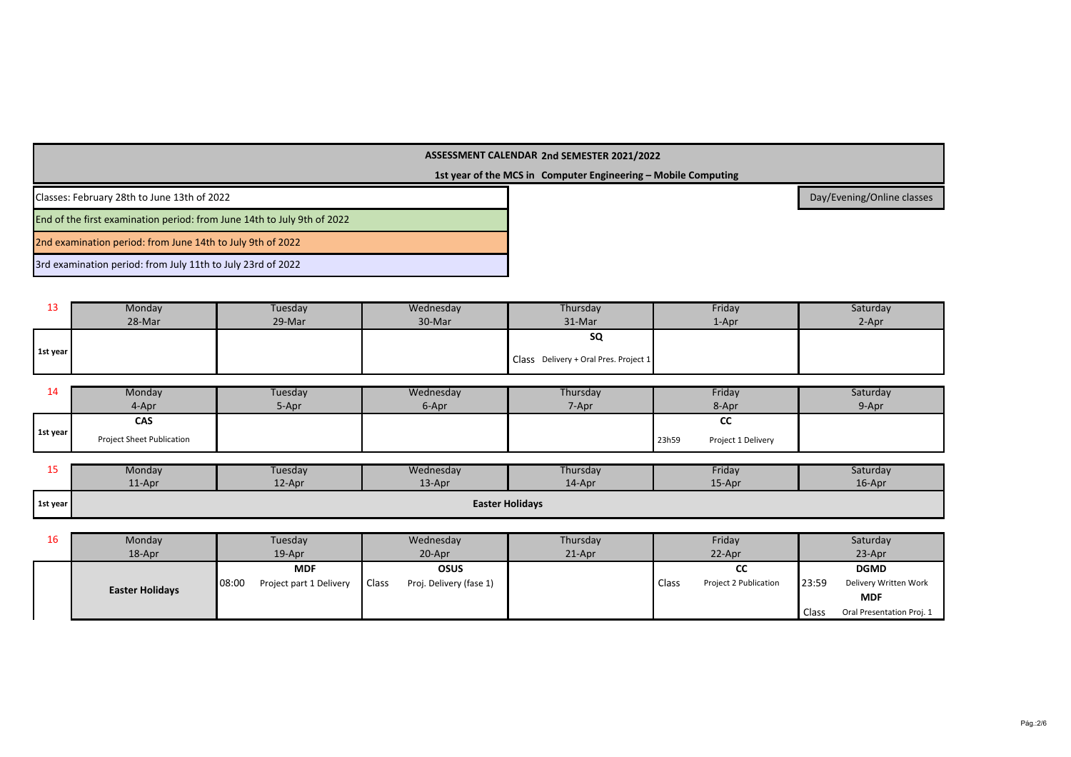**1st year of the MCS in Computer Engineering – Mobile Computing**

Classes: February 28th to June 13th of 2022

End of the first examination period: from June 14th to July 9th of 2022

2nd examination period: from June 14th to July 9th of 2022

3rd examination period: from July 11th to July 23rd of 2022

| --       | Monday | Tuesday | Wednesday | Thursday                              | Friday | Saturday |
|----------|--------|---------|-----------|---------------------------------------|--------|----------|
|          | 28-Mar | 29-Mar  | 30-Mar    | 31-Mar                                | 1-Apr  | 2-Apr    |
|          |        |         |           | SQ                                    |        |          |
| 1st year |        |         |           | Class Delivery + Oral Pres. Project 1 |        |          |

| 44       | Monday                    | Tuesday | Wednesday | Thursday | Friday                      | Saturday |
|----------|---------------------------|---------|-----------|----------|-----------------------------|----------|
|          | 4-Apr                     | 5-Apr   | 6-Apr     | 7-Apr    | 8-Apr                       | 9-Apr    |
|          | CAS                       |         |           |          | $\sim$<br>ີ                 |          |
| 1st year | Project Sheet Publication |         |           |          | 23h59<br>Project 1 Delivery |          |

| --       | Monday | Tuesday | Wednesday  | Thursday               | Friday | Saturday |
|----------|--------|---------|------------|------------------------|--------|----------|
|          | 11-Apr | 12-Apr  | $13 - Apr$ | 14-Apr                 | 15-Apr | 16-Apr   |
| 1st year |        |         |            | <b>Easter Holidays</b> |        |          |

| 16 | Monday                 | Tuesday                          | Wednesday                               | Thursday  | Friday                         | Saturday                           |
|----|------------------------|----------------------------------|-----------------------------------------|-----------|--------------------------------|------------------------------------|
|    | 18-Apr                 | $19$ -Apr                        | 20-Apr                                  | $21$ -Apr | 22-Apr                         | 23-Apr                             |
|    |                        | <b>MDF</b>                       | <b>OSUS</b>                             |           | CС                             | <b>DGMD</b>                        |
|    | <b>Easter Holidays</b> | 08:00<br>Project part 1 Delivery | <b>Class</b><br>Proj. Delivery (fase 1) |           | Class<br>Project 2 Publication | 23:59<br>Delivery Written Work     |
|    |                        |                                  |                                         |           |                                | <b>MDF</b>                         |
|    |                        |                                  |                                         |           |                                | Class<br>Oral Presentation Proj. 1 |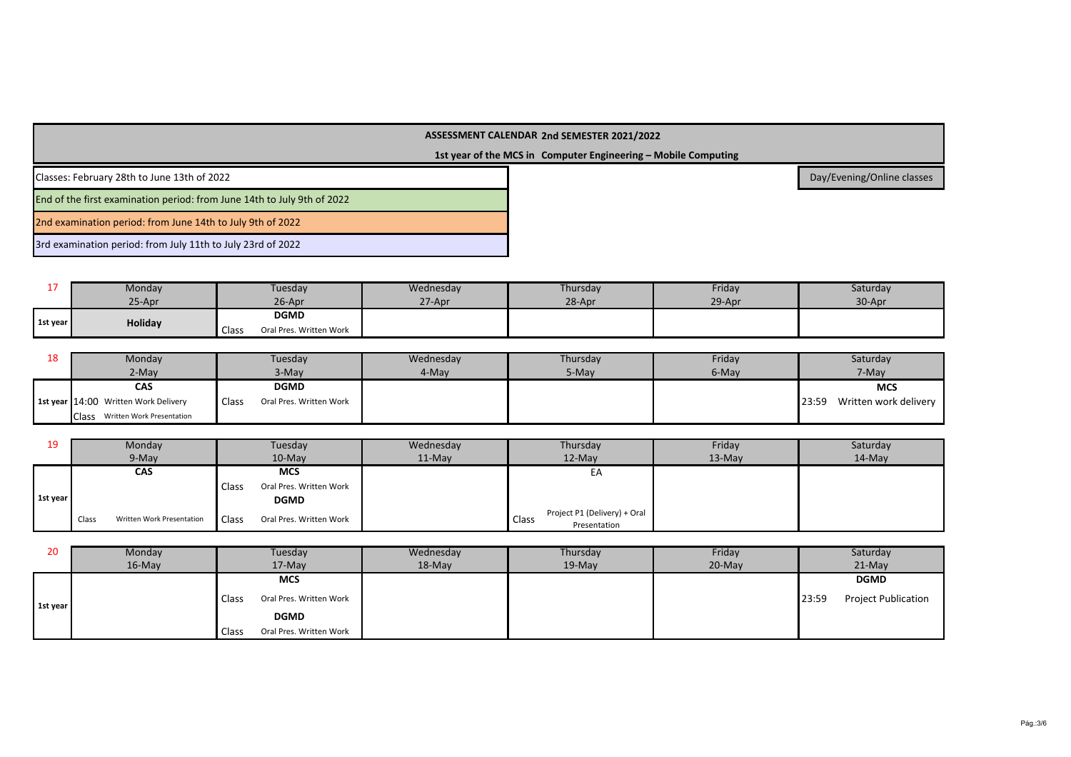## **1st year of the MCS in Computer Engineering – Mobile Computing**

Classes: February 28th to June 13th of 2022

End of the first examination period: from June 14th to July 9th of 2022

2nd examination period: from June 14th to July 9th of 2022

3rd examination period: from July 11th to July 23rd of 2022

|          | Monday  | <b>Tuesday</b>                   | Wednesday | Thursday | Friday | Saturday |
|----------|---------|----------------------------------|-----------|----------|--------|----------|
|          | 25-Apr  | 26-Apr                           | 27-Apr    | 28-Apr   | 29-Apr | 30-Apr   |
|          | Holiday | <b>DGMD</b>                      |           |          |        |          |
| 1st year |         | Oral Pres. Written Work<br>Class |           |          |        |          |

| ᅭ | Monday                                    | Tuesday                          | Wednesday | Thursday | Friday | Saturday                       |
|---|-------------------------------------------|----------------------------------|-----------|----------|--------|--------------------------------|
|   | 2-May                                     | 3-May                            | 4-May     | 5-May    | 6-May  | 7-May                          |
|   | <b>CAS</b>                                | <b>DGMD</b>                      |           |          |        | <b>MCS</b>                     |
|   | 1st year 14:00 Written Work Delivery      | Class<br>Oral Pres. Written Work |           |          |        | Written work delivery<br>23:59 |
|   | <b>Class</b><br>Written Work Presentation |                                  |           |          |        |                                |

| 19       | Monday                             | Tuesday                                 | Wednesday | Thursday                                              | Friday   | Saturday  |
|----------|------------------------------------|-----------------------------------------|-----------|-------------------------------------------------------|----------|-----------|
|          | 9-May                              | $10$ -May                               | $11-Mav$  | $12-Mav$                                              | $13-Mav$ | $14$ -May |
|          | <b>CAS</b>                         | <b>MCS</b>                              |           | EA                                                    |          |           |
|          |                                    | Class<br>Oral Pres. Written Work        |           |                                                       |          |           |
| 1st year |                                    | <b>DGMD</b>                             |           |                                                       |          |           |
|          | Class<br>Written Work Presentation | <b>Class</b><br>Oral Pres. Written Work |           | Project P1 (Delivery) + Oral<br>Class<br>Presentation |          |           |

| 20       | Monday    | Tuesday                                 | Wednesday | Thursday | Friday   | Saturday                            |
|----------|-----------|-----------------------------------------|-----------|----------|----------|-------------------------------------|
|          | $16$ -May | $17-May$                                | 18-May    | $19-Mav$ | $20-Mav$ | $21-Mav$                            |
| 1st year |           | <b>MCS</b>                              |           |          |          | <b>DGMD</b>                         |
|          |           | <b>Class</b><br>Oral Pres. Written Work |           |          |          | <b>Project Publication</b><br>23:59 |
|          |           | <b>DGMD</b>                             |           |          |          |                                     |
|          |           | Class<br>Oral Pres. Written Work        |           |          |          |                                     |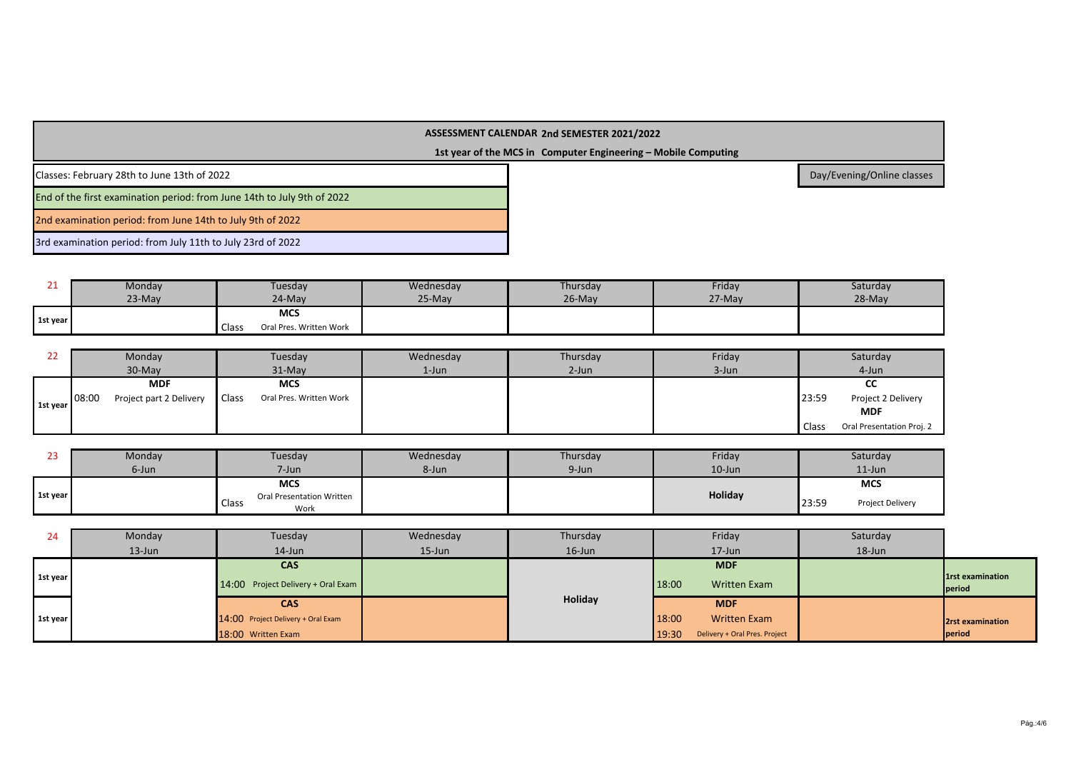**1st year of the MCS in Computer Engineering – Mobile Computing**

Classes: February 28th to June 13th of 2022

End of the first examination period: from June 14th to July 9th of 2022

2nd examination period: from June 14th to July 9th of 2022

3rd examination period: from July 11th to July 23rd of 2022

|          | Monday   | Tuesday                                 | Wednesday | Thursday  | Friday | Saturday |
|----------|----------|-----------------------------------------|-----------|-----------|--------|----------|
|          | $23-May$ | 24-May                                  | 25-May    | $26$ -May | 27-May | $28-May$ |
| 1st year |          | <b>MCS</b>                              |           |           |        |          |
|          |          | Oral Pres. Written Work<br><b>Class</b> |           |           |        |          |

| 22       | Monday                           | Tuesday                                 | Wednesday | Thursday | Friday | Saturday                           |
|----------|----------------------------------|-----------------------------------------|-----------|----------|--------|------------------------------------|
|          | $30-May$                         | $31-Mav$                                | $1$ -Jun  | $2$ -Jun | 3-Jun  | 4-Jun                              |
|          | <b>MDF</b>                       | <b>MCS</b>                              |           |          |        | น                                  |
| 1st year | 08:00<br>Project part 2 Delivery | <b>Class</b><br>Oral Pres. Written Work |           |          |        | 23:59<br>Project 2 Delivery        |
|          |                                  |                                         |           |          |        | <b>MDF</b>                         |
|          |                                  |                                         |           |          |        | Class<br>Oral Presentation Proj. 2 |

|          | Monday                                            | Tuesday    | Wednesday | Thursday | Friday  | Saturday                         |
|----------|---------------------------------------------------|------------|-----------|----------|---------|----------------------------------|
|          | 6-Jun                                             | $7 - Jun$  | 8-Jun     | 9-Jun    | 10-Jun  | $11$ -Jun                        |
|          |                                                   | <b>MCS</b> |           |          |         | <b>MCS</b>                       |
| 1st year | <b>Oral Presentation Written</b><br>Class<br>Work |            |           |          | Holiday | <b>Project Delivery</b><br>23:59 |

| 24       | Monday    | Tuesday                              | Wednesday | Thursday  | Friday                                 | Saturday |                                  |
|----------|-----------|--------------------------------------|-----------|-----------|----------------------------------------|----------|----------------------------------|
|          | $13$ -Jun | $14$ -Jun                            | $15$ -Jun | $16$ -Jun | $17 - Jun$                             | 18-Jun   |                                  |
|          |           | <b>CAS</b>                           |           |           | <b>MDF</b>                             |          |                                  |
| 1st year |           | $14:00$ Project Delivery + Oral Exam |           |           | 18:00<br><b>Written Exam</b>           |          | <b>1st examination</b><br>period |
|          |           | <b>CAS</b>                           |           | Holiday   | <b>MDF</b>                             |          |                                  |
| 1st year |           | 14:00 Project Delivery + Oral Exam   |           |           | 18:00<br><b>Written Exam</b>           |          | 2rst examination                 |
|          |           | 18:00 Written Exam                   |           |           | 19:30<br>Delivery + Oral Pres. Project |          | <b>period</b>                    |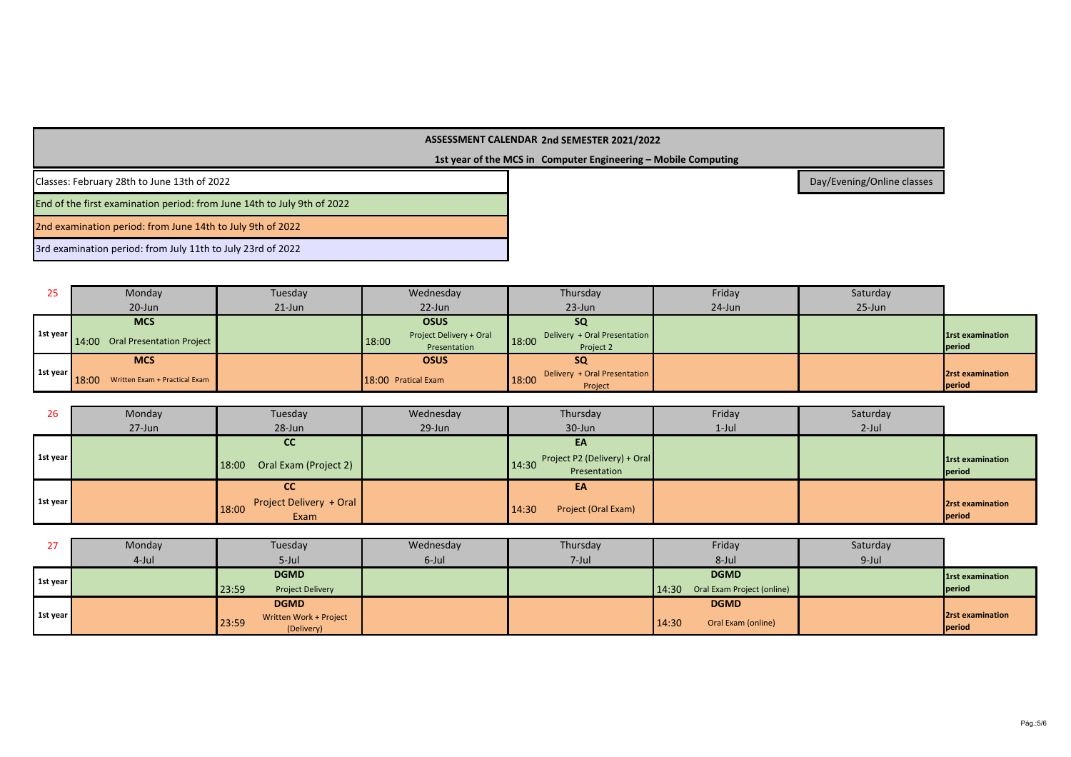# **1st year of the MCS in Computer Engineering – Mobile Computing**

Classes: February 28th to June 13th of 2022

End of the first examination period: from June 14th to July 9th of 2022

2nd examination period: from June 14th to July 9th of 2022

3rd examination period: from July 11th to July 23rd of 2022

| 25       | Monday                                 | Tuesday             | Wednesday                        | Thursday                              | Friday    | Saturday  |                         |
|----------|----------------------------------------|---------------------|----------------------------------|---------------------------------------|-----------|-----------|-------------------------|
|          | 20-Jun                                 | $21$ -Jun           | $22$ -Jun                        | $23$ -Jun                             | $24$ -Jun | $25$ -Jun |                         |
|          | <b>MCS</b>                             |                     | <b>OSUS</b>                      | <b>SQ</b>                             |           |           |                         |
| 1st year | 14:00 Oral Presentation Project        |                     | Project Delivery + Oral<br>18:00 | Delivery + Oral Presentation<br>18:00 |           |           | <b>1st examination</b>  |
|          |                                        |                     | Presentation                     | Project 2                             |           |           | period                  |
|          | <b>MCS</b>                             |                     | <b>OSUS</b>                      | <b>SQ</b>                             |           |           |                         |
| 1st year | 18:00<br>Written Exam + Practical Exam | 18:00 Pratical Exam |                                  | Delivery + Oral Presentation<br>18:00 |           |           | <b>2rst examination</b> |
|          |                                        |                     |                                  | Project                               |           |           | period                  |

| 26       | Monday     | Tuesday                                  | Wednesday | Thursday                                           | Friday   | Saturday |                                   |
|----------|------------|------------------------------------------|-----------|----------------------------------------------------|----------|----------|-----------------------------------|
|          | $27 - Jun$ | 28-Jun                                   | 29-Jun    | 30-Jun                                             | $1$ -Jul | $2$ -Jul |                                   |
|          |            | <b>CC</b>                                |           | EA                                                 |          |          |                                   |
| 1st year |            | Oral Exam (Project 2)<br>18:00           |           | 14:30 Project P2 (Delivery) + Oral<br>Presentation |          |          | <b>1rst examination</b><br>period |
|          |            | СC                                       |           | EA                                                 |          |          |                                   |
| 1st year |            | Project Delivery + Oral<br>18:00<br>Exam |           | Project (Oral Exam)<br>14:30                       |          |          | <b>2rst examination</b><br>period |

| 27       | Monday   | Tuesday                          | Wednesday | Thursday  | Friday                              | Saturday |                         |
|----------|----------|----------------------------------|-----------|-----------|-------------------------------------|----------|-------------------------|
|          | $4$ -Jul | $5$ -Jul                         | 6-Jul     | $7 -$ Jul | 8-Jul                               | $9$ -Jul |                         |
| 1st year |          | <b>DGMD</b>                      |           |           | <b>DGMD</b>                         |          | 1rst examination        |
|          |          | 23:59<br><b>Project Delivery</b> |           |           | 14:30<br>Oral Exam Project (online) |          | period                  |
| 1st year |          | <b>DGMD</b>                      |           |           | <b>DGMD</b>                         |          |                         |
|          |          | Written Work + Project<br>23:59  |           |           | 14:30<br>Oral Exam (online)         |          | <b>2rst examination</b> |
|          |          | (Delivery)                       |           |           |                                     |          | <b>period</b>           |